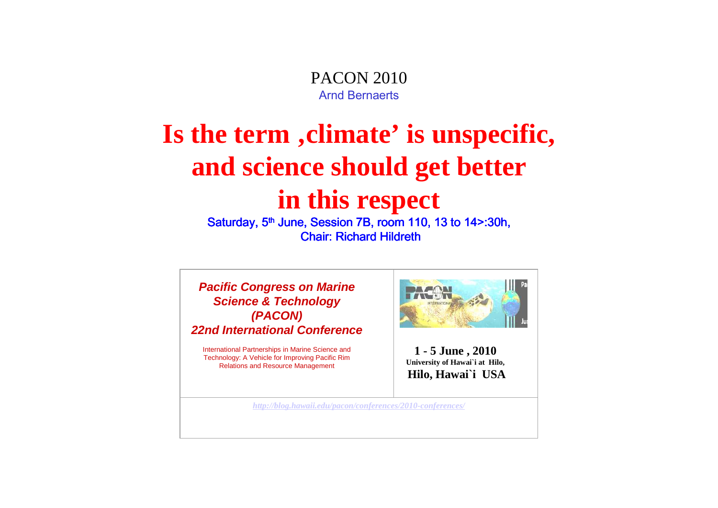PACON 2010Arnd Bernaerts

## **Is the term 'climate' is unspecific, and science should get better in this respect**

Saturday, 5<sup>th</sup> June, Session 7B, room 110, 13 to 14>:30h, **Chair: Richard Hildreth** 

**Pacific Congress on Marine Science & Technology (PACON)22nd International Conference**

International Partnerships in Marine Science and Technology: A Vehicle for Improving Pacific Rim Relations and Resource Management



**1 - 5 June , 2010 University of Hawai`i at Hilo, Hilo, Hawai`i USA**

*http://blog.hawaii.edu/pacon/conferences/2010-conferences/*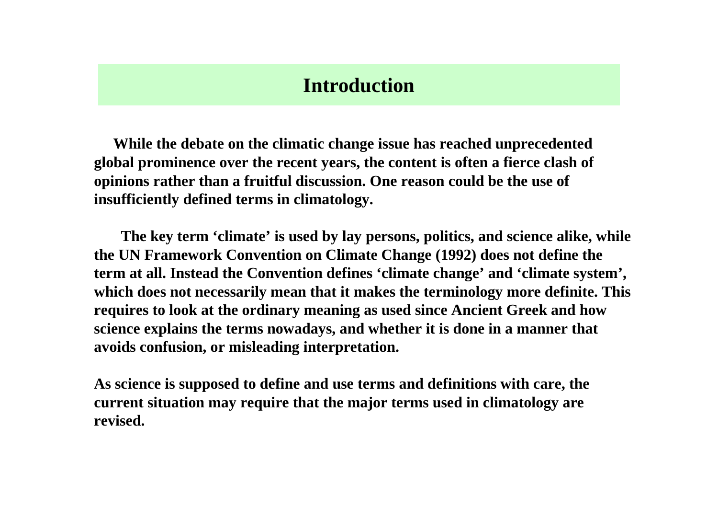### **Introduction**

**While the debate on the climatic change issue has reached unprecedented global prominence over the recent years, the content is often a fierce clash of opinions rather than a fruitful discussion. One reason could be the use of insufficiently defined terms in climatology.** 

**The key term 'climate' is used by lay persons, politics, and science alike, while the UN Framework Convention on Climate Change (1992) does not define the term at all. Instead the Convention defines 'climate change' and 'climate system', which does not necessarily mean that it makes the terminology more definite. This requires to look at the ordinary meaning as used since Ancient Greek and how science explains the terms nowadays, and whether it is done in a manner that avoids confusion, or misleading interpretation.** 

**As science is supposed to define and use terms and definitions with care, the current situation may require that the major terms used in climatology are revised.**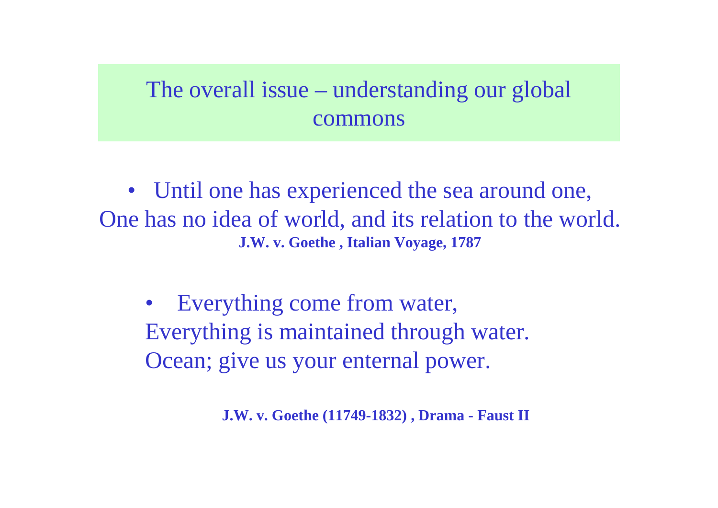## The overall issue – understanding our global commons

• Until one has experienced the sea around one, One has no idea of world, and its relation to the world.**J.W. v. Goethe , Italian Voyage, 1787**

 $\bullet$  Everything come from water, Everything is maintained through water.Ocean; give us your enternal power.

**J.W. v. Goethe (11749-1832) , Drama - Faust II**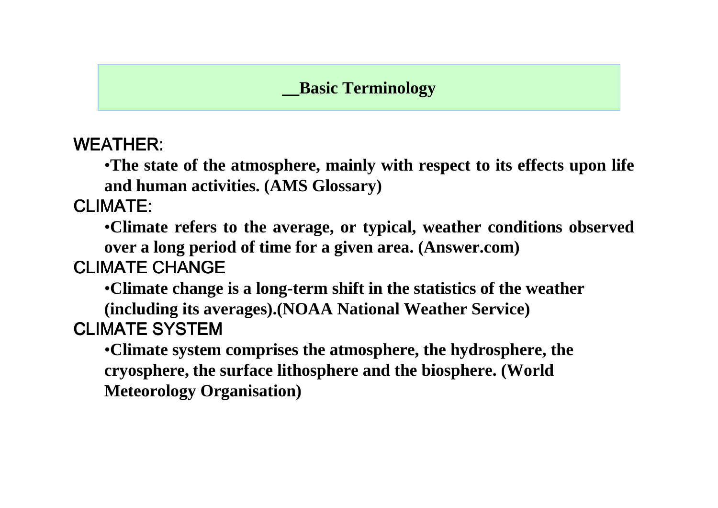### **\_\_Basic Terminology**

WEATHER:

•**The state of the atmosphere, mainly with respect to its effects upon life and human activities. (AMS Glossary)**

CLIMATE:

•**Climate refers to the average, or typical, weather conditions observed over a long period of time for a given area. (Answer.com)**

### CLIMATE CHANGE

•**Climate change is a long-term shift in the statistics of the weather** 

**(including its averages).(NOAA National Weather Service)** CLIMATE SYSTEM

 •**Climate system comprises the atmosphere, the hydrosphere, the cryosphere, the surface lithosphere and the biosphere. (World Meteorology Organisation)**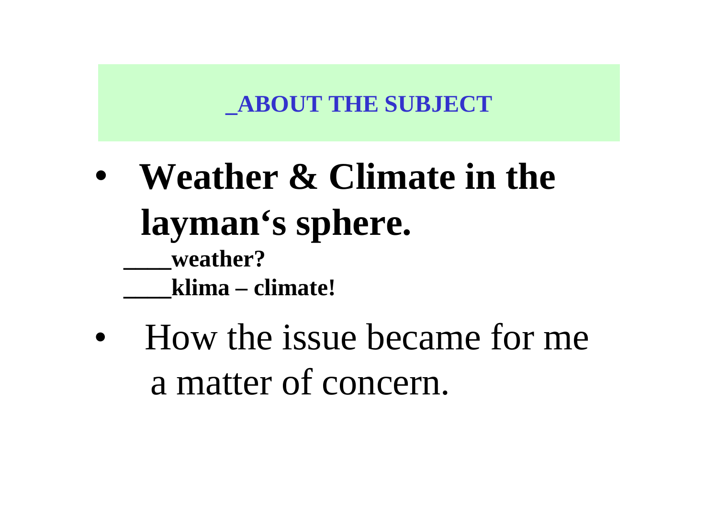## **\_ABOUT THE SUBJECT**

- • **Weather & Climate in the layman's sphere.\_\_\_\_weather?\_\_\_\_klima – climate!**
- $\bullet$  How the issue became for mea matter of concern.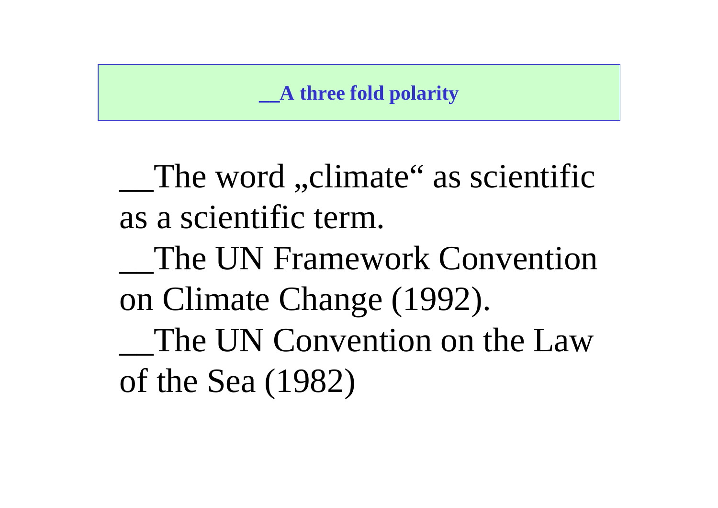## **\_\_A three fold polarity**

The word ,,climate" as scientific as a scientific term.The UN Framework Convention on Climate Change (1992).The UN Convention on the Law of the Sea (1982)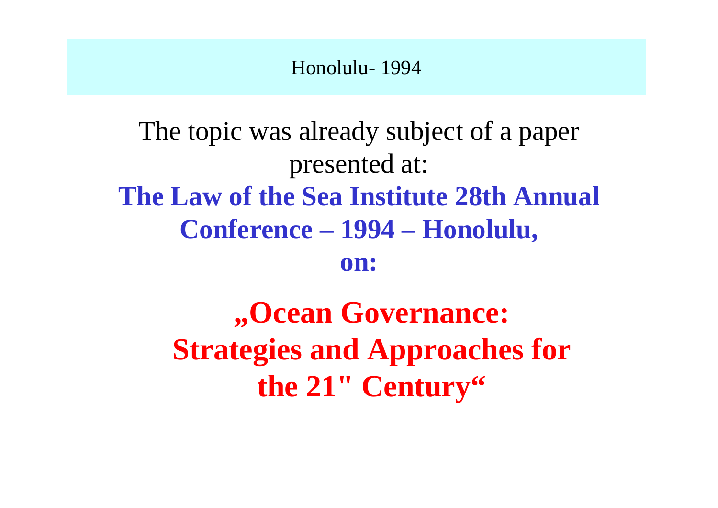### Honolulu- 1994

# The topic was already subject of a paper presented at:**The Law of the Sea Institute 28th Annual Conference – 1994 – Honolulu,**

**on:**

**"Ocean Governance: Strategies and Approaches for** the 21" Century<sup>"</sup>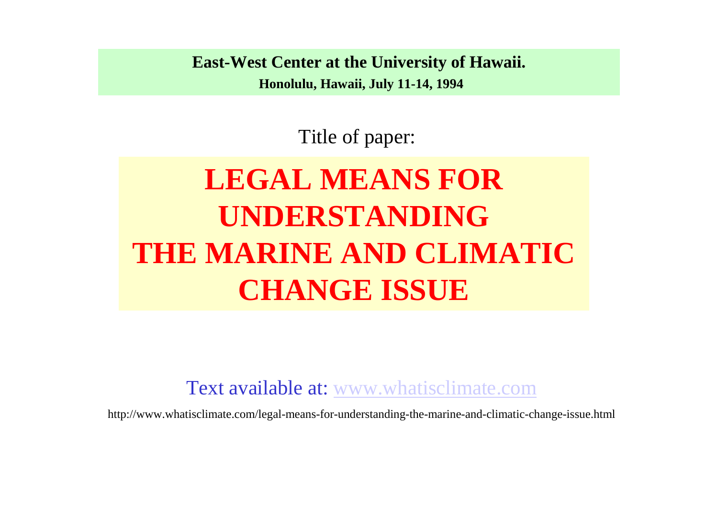**East-West Center at the University of Hawaii. Honolulu, Hawaii, July 11-14, 1994**

Title of paper:

# **LEGAL MEANS FOR UNDERSTANDING THE MARINE AND CLIMATIC CHANGE ISSUE**

Text available at: www.whatisclimate.com

http://www.whatisclimate.com/legal-means-for-understanding-the-marine-and-climatic-change-issue.html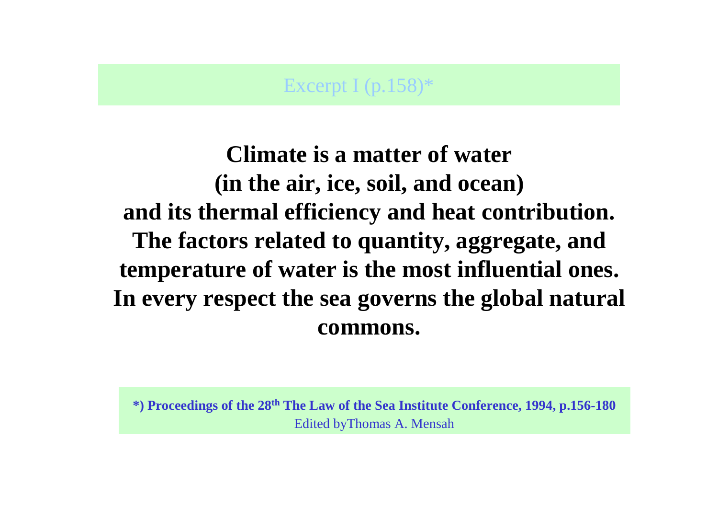### Excerpt I (p.158)\*

**Climate is a matter of water (in the air, ice, soil, and ocean) and its thermal efficiency and heat contribution. The factors related to quantity, aggregate, and temperature of water is the most influential ones. In every respect the sea governs the global naturalcommons.**

**\*) Proceedings of the 28th The Law of the Sea Institute Conference, 1994, p.156-180**Edited byThomas A. Mensah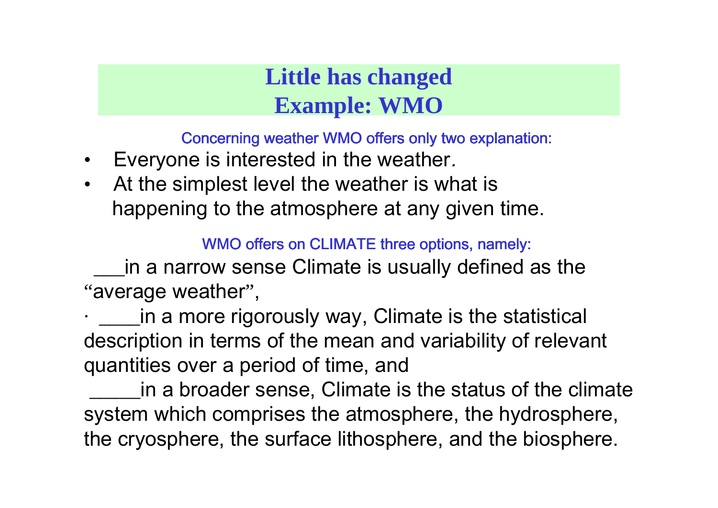## **Little has changed Example: WMO**

Concerning weather WMO offers only two explanation:

- •Everyone is interested in the weather.
- $\bullet$  At the simplest level the weather is what ishappening to the atmosphere at any given time.

WMO offers on CLIMATE three options, namely:

\_\_\_in a narrow sense Climate is usually defined as the"average weather",

· \_\_\_\_in a more rigorously way, Climate is the statistical description in terms of the mean and variability of relevant quantities over a period of time, and

 \_\_\_\_\_in a broader sense, Climate is the status of the climate system which comprises the atmosphere, the hydrosphere, the cryosphere, the surface lithosphere, and the biosphere.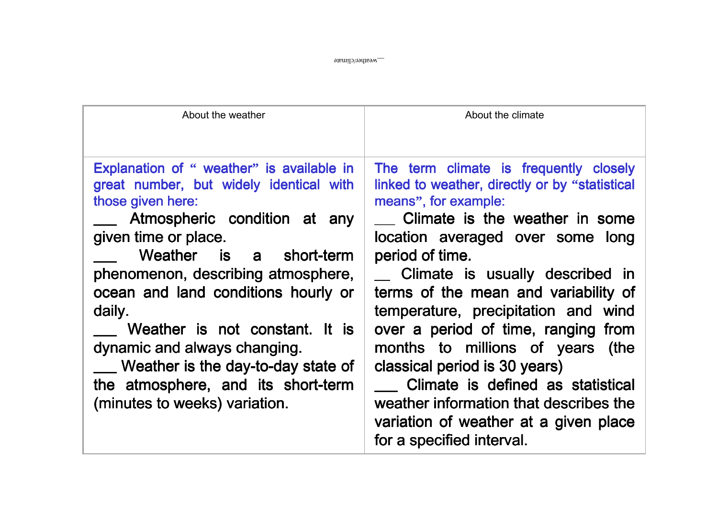\_\_weather/climate

| About the weather                                                                                                                                                                                                                                                                                                                                                                                                                                                     | About the climate                                                                                                                                                                                                                                                                                                                                                                                                                                                                                                                                                                              |
|-----------------------------------------------------------------------------------------------------------------------------------------------------------------------------------------------------------------------------------------------------------------------------------------------------------------------------------------------------------------------------------------------------------------------------------------------------------------------|------------------------------------------------------------------------------------------------------------------------------------------------------------------------------------------------------------------------------------------------------------------------------------------------------------------------------------------------------------------------------------------------------------------------------------------------------------------------------------------------------------------------------------------------------------------------------------------------|
| Explanation of " weather" is available in<br>great number, but widely identical with<br>those given here:<br>Atmospheric condition at any<br>given time or place.<br>Weather is a short-term<br>phenomenon, describing atmosphere,<br>ocean and land conditions hourly or<br>daily.<br>Weather is not constant. It is<br>dynamic and always changing.<br>__ Weather is the day-to-day state of<br>the atmosphere, and its short-term<br>(minutes to weeks) variation. | The term climate is frequently closely<br>linked to weather, directly or by "statistical<br>means", for example:<br>Climate is the weather in some<br>location averaged over some long<br>period of time.<br>_ Climate is usually described in<br>terms of the mean and variability of<br>temperature, precipitation and wind<br>over a period of time, ranging from<br>months to millions of years (the<br>classical period is 30 years)<br>Climate is defined as statistical<br>weather information that describes the<br>variation of weather at a given place<br>for a specified interval. |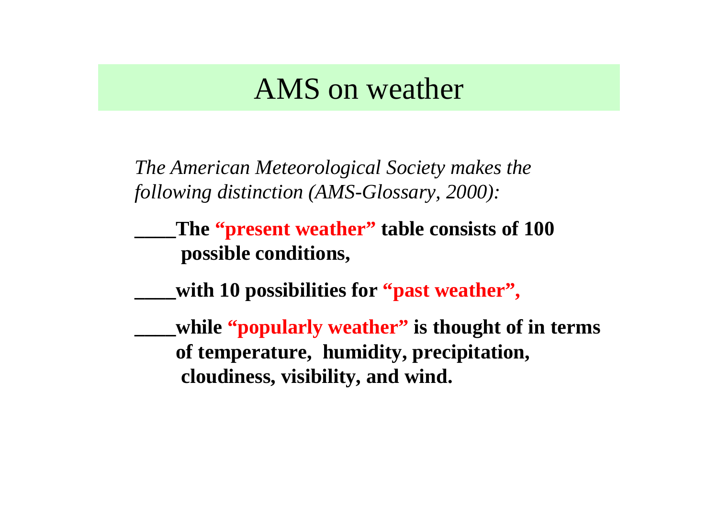## AMS on weather

*The American Meteorological Society makes the following distinction (AMS-Glossary, 2000):* 

**\_\_\_\_The "present weather" table consists of 100 possible conditions,** 

**\_\_\_\_with 10 possibilities for "past weather",**

**\_\_\_\_while "popularly weather" is thought of in terms of temperature, humidity, precipitation, cloudiness, visibility, and wind.**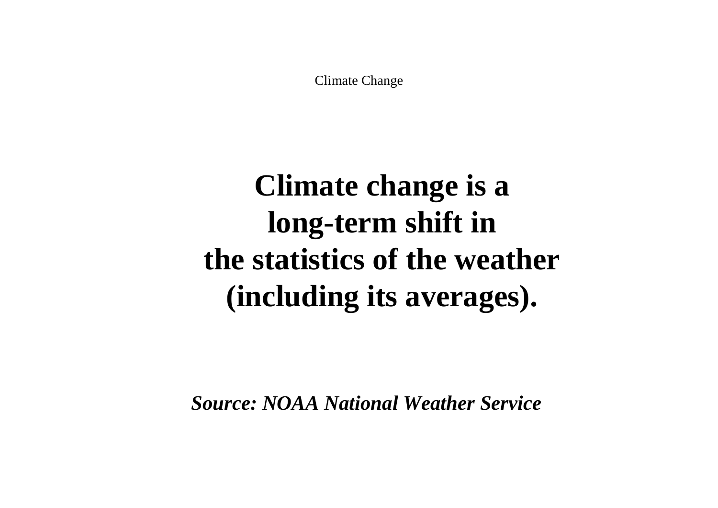Climate Change

# **Climate change is a long-term shift in the statistics of the weather (including its averages).**

*Source: NOAA National Weather Service*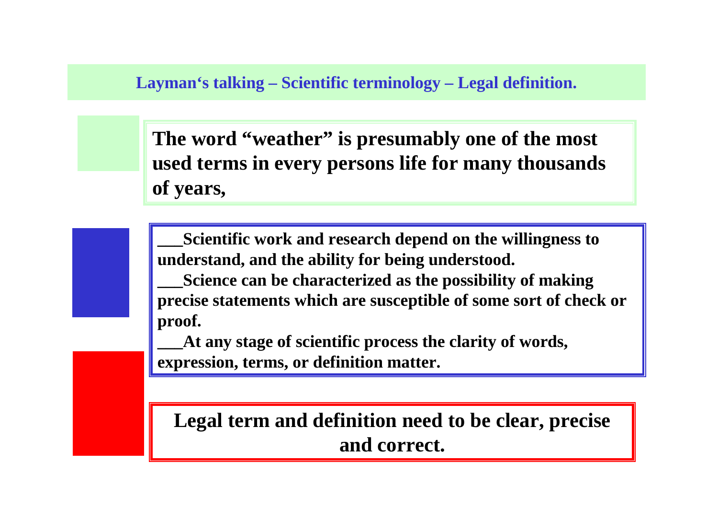### **Layman's talking – Scientific terminology – Legal definition.**

**The word "weather" is presumably one of the most used terms in every persons life for many thousandsof years,** 

**\_\_\_Scientific work and research depend on the willingness to understand, and the ability for being understood.** 

**\_\_\_Science can be characterized as the possibility of making precise statements which are susceptible of some sort of check or proof.** 

**\_\_\_At any stage of scientific process the clarity of words, expression, terms, or definition matter.** 

**Legal term and definition need to be clear, preciseand correct.**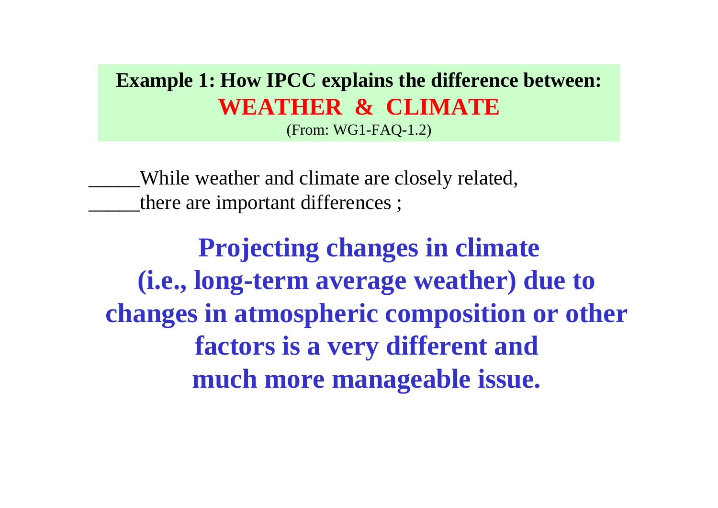### **Example 1: How IPCC explains the difference between:WEATHER & CLIMATE**(From: WG1-FAQ-1.2)

\_\_\_\_\_While weather and climate are closely related,there are important differences;

**Projecting changes in climate (i.e., long-term average weather) due to changes in atmospheric composition or other factors is a very different and much more manageable issue.**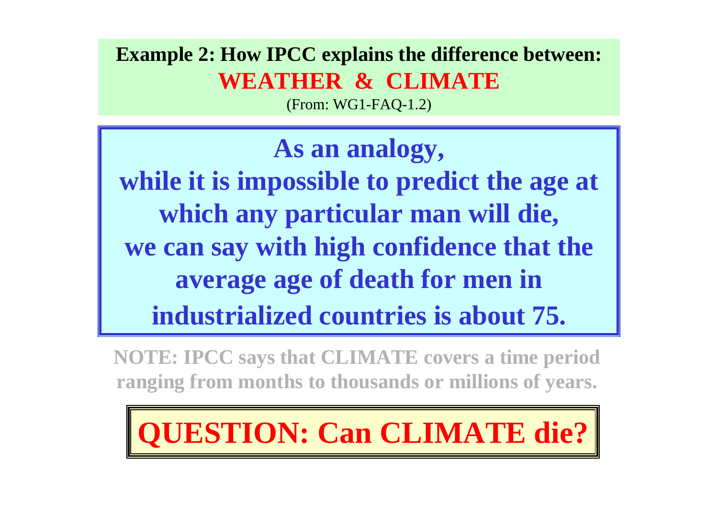## **Example 2: How IPCC explains the difference between:WEATHER & CLIMATE**

(From: WG1-FAQ-1.2)

**As an analogy, while it is impossible to predict the age at which any particular man will die, we can say with high confidence that the average age of death for men in industrialized countries is about 75.**

**NOTE: IPCC says that CLIMATE covers a time period ranging from months to thousands or millions of years.** 

**UESTION: Can CLIMATE die?**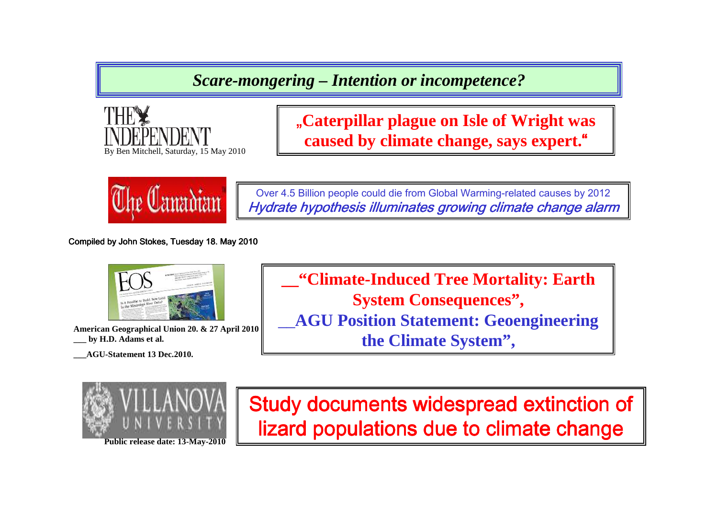*Scare-mongering – Intention or incompetence?*



"**Caterpillar plague on Isle of Wright was caused by climate change, says expert.**"



Over 4.5 Billion people could die from Global Warming-related causes by 2012Hydrate hypothesis illuminates growing climate change alarm

Compiled by John Stokes, Tuesday 18. May 2010



**American Geographical Union 20. & 27 April 2010\_\_\_ by H.D. Adams et al.** 

**\_\_\_AGU-Statement 13 Dec.2010.** 

**\_\_"Climate-Induced Tree Mortality: Earth System Consequences",**\_\_**AGU Position Statement: Geoengineeringthe Climate System",**



**Public release date: 13-May-2010** 

Study documents widespread extinction of lizard populations due to climate change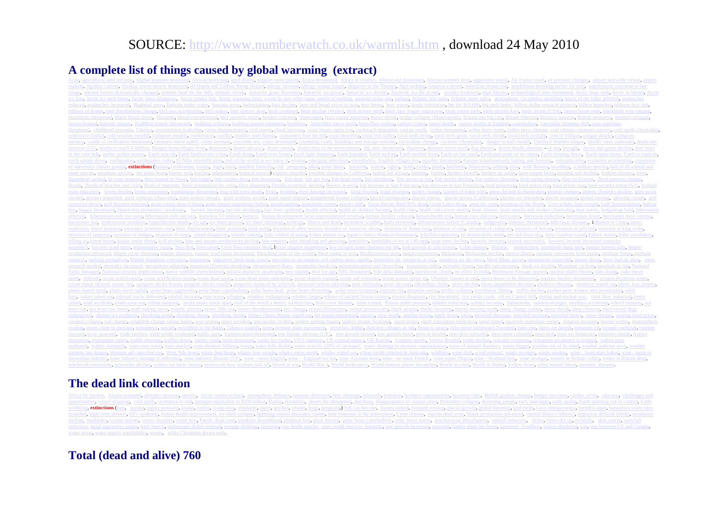### SOURCE: <u>http://www.numberwatch.co.uk/warmlist.htm</u> , download 24 May 2010

#### **A complete list of things caused by global warming (extract)**

Acne, agricultural land increase, Afghan poppies destroyed, African holocaust, aged deaths, poppies more potent, Africa devastated,African summer frost, aggressive weeds, Air France crash, air pressure changes, airport farewells virtual, airport malaria, Agulhas current, Alaskan towns slowly destroyed, Al Qaeda and Taliban Being Helped, allergy increase, allergy increase, allergy season longer, alligators in the Thames. Alps melting, Amazon a desert, American drea stings ancient forests dramatically changed, animals head for the hills, animals shrink, Antarctic grass flourishes. Antarctic ice grows, Antarctic ice shrinks, Antarctic sea life at risk, anxiety treatment, algal blooms, ice free, Arctic ice melt faster, Arctic lakes disappear. Arctic tundra lost. Arctic warming (not), a rose by an ther name smells of nothing, asteroid strike risk, asthma. Atlantic less salty, Atlantic more salty, atmospheric circulation modified, attack of the killer jellyfish, avalanches reduced, avalanches increased, Baghdad snow, Bahrain under water, bananas grow, barbarisation, bats decline, beer and bread prices to soar, beer better, beer worse, beetle infestation, bet for \$10,000, big melt faster, bil billions of deaths, bird distributions change, bird loss accelerating, bird strikes, bird visitors drop, birds confused, birds decline (Wales) birds driven north, birds face longer migrations, birds return early, birds shr blackbirds threatened, Black Hawk down, blizzards, blood contaminated, blue mussels return, borders redrawn, bluetongue, brain eating amoebae, brains shrink, bridge collapse (Minneapolis), Britain one big city, Britain Sib brown Ireland, bubonic plague, Buddhist temple threatened, building collapse, building season extension, bushfires, butterflies move north, butterflies reeling, carbon crimes, camel deaths, cancer deaths in England, cannib threatened, childhood insomnia, Cholera, circumcision in decline, cirrus disappearance, civil unrest, cloud increase, coast beauty spots lost, cockroach migration, cod go south, coffee threatened, coffee berry borer, coffe cold wave (India), cold weather (world), computer models, conferences, conflict, conflict with Russia, consumers foot the bill, coral bleaching, coral fish suffer, coral reefs dying, coral reefs grow, coral reefs shrink, c menace, cradle of civilisation threatened, creatures move uphill, crime increase, crocodile sex, crops devastated, crumbling roads, buildings and sewage systems, curriculum change, cyclones (Australia), danger to kid's hea increase (US), deaths to reach 6 million, Dengue hemorrhagic fever, depression, desert advance, desert retreat, destruction of the environment, dig sites threatened, disasters, diseases move north, dog disease, dozen deadl in the corn belt, earlier pollen season, Earth axis tilt, Earth biodiversity crisis, Earth dying, Earth dying, Earth even hotter, Earth light dimming, Earth lopsided, Earth morbid fever, Earth morbid fever, Earth past trac earth upside down, earthquakes earthquakes redux, El Niño intensification, end of the world as we know it, erosion, emerging infections, encephalitis, English villages lost, equality threatened, Europe simultaneously bakin of university climate groups, extinctions (human, civilisation, koalas, logic, Inuit, smallest butterfly, cod, penguins, pikas, polar bears, possums, walrus, tigers, toads turtles, plants, ladybirds, rhinoceros, salmon, tr plant species, mountain species, not polar bears, barrier reef, leaches, salamanders, tropical insects) experts muzzled, extreme changes to California, fading fall foliage, fainting, farmine, farmers benefit, farmers go un figurehead sacked, fir cone bonanza, fires fanned in Nepal, fish bigger, fish catches drop, fish downsize, fish deaf, fish get lost, fish head north, fish shrinking, fish stocks at risk, fish stocks edine, five million ill floods a floods of beaches and cities, flood of migrants, flood preparation for crisis, flora dispersed, Florida economic decline, flowers in peril, fog increase in San Francisco, fog decrease in San Francisco, food poison team migration, forest decline, forest expansion, foundations threatened, frog with extra heads, frosts, frostbite, frost damage increased, fungi fruitful, fungi invasion, games change, Garden of Eden wilts, geese decline slashed geysers imperiled, giant icebergs (Australia), giant oysters invade, giant pythons invade, giant squid migrate, giant pythons invade, giant squid migrate, giant pythons invade, giant squid migrate, giangerbread hou course to drown, golf Masters wrecked, grain output drop (China), grain output stagnating (India), grandstanding, grasslands wetter, gravity shift, Great Barrier Reef 95% dead, Great Lakes drop, great tits cope, greening o loss haggis threatened Hantavirus pulmonary syndrome harvest increase harvest shrinkage hay fever epidemic, health affected health of children harmed health risks health risks (even more) heart disease, heart attacks and s affected, hibernation ends too soon, hibernation ends too late, homeless 50 million, hornets, human development faces unprecedented reversal, human fertility reduced, human health risk, human race oblivion, hurricanes, hur hurricanes not, hydropower problems, hyperthermia deaths, ice age, ice sheet growth, ice sheet shrinkage, icebergs, illness and death, inclement weather. India drowning, infrastructure failure (Canada), indigestion, indust explosion, insect invasion, insurance premium rises, Inuit displacement, Inuit poisoned, Inuit suing, invasion of alien worms, invasion of Antarctic aliens, invasion of Asian carp, invasion of cats, invasion of crabgrass, invasion of lampreys, invasion of midges, invasion of slugs, island disappears, islands sinking, Italy robbed of pasta, itchier poison ivy, Japan's cherry blossom threatened, jellyfish explosion, jet stream drifts north, j killing us, kitten boom, koalas under threat, krill decline, lake and stream productivity decline, lake empties, lake shrinking and growing, landslides, landslides of ice at 140 mph, large trees decline, lawsuits increase, surprise!), lawyers want more legionnaires' surge, lives lost, lives saved, Loch Ness monster dead, locust plagues suppressed, low oxygen zones threaten sea life, lush growth in rain forests, Lyme disease, Malaria, malnutr production advanced, Maple syrup shortage, marine diseases, marine food chain decimated, Meaching (end of the world), Meat eating to stop, Mediterranean rises, megacryometeors, Melanoma, Melanoma decline, mental illness, m runaway, melting permafrost, Middle Kingdom convulses, migration, migratory birds huge losses, microbes to decompose soil carbon more rapidly, minorities hit, monkeys at risk, monkeys on the move. Mont Blanc grows, monumen research needed, mortality increased, mosquitoes adapting, mountain (Everest) shrinking, mountaineers fears, mountains break up, mountains green and flowering, mountains taller, mortality lower, murder rate increase, musk Parks damaged, National security implications, native wildlife overwhelmed, natural disasters quadruple, new islands, next ice age, NFL threatened, Nile delta damaged, noctilucent clouds, no effect in India, Northwest Pass north, oblivion, ocean acidification, ocean acidification faster, ocean dead spots, ocean dead zones unleashed, ocean deserts expand, ocean salt extremes, ocean waves speed up. Olympic Games to end, opera house to be destr ozone repair slowed, ozone rise, penguin chicks frozen, penguin chicks smaller, penguins replaced by jellyfish, personal carbon rationing, pest outbreaks, pests increase, phenology shifts, pines decline, pirate population plants march north, plants move uphill, polar bears aggressive, polar bears cannibalistic, polar bears deaf, polar bears drowning, polar tours scrapped, popcorn rise, porpoise astray, profits collapse, psychiatric illness, bats, radars taken out, railroad tracks deformed, rainfall increase, rape wave, refugees, reindeer endangered, reindeer larger, release of ancient frozen viruses, resonts disappear, rice threatened, rice yields crash, rift raised, road accidents, roads wear out, robins rampant, rocky peaks crack apart, roof of the world a desert, rooftop bars, Ross river disease, ruins ruined, Russia under pressure, salinity reduction, salinity increase. Sal level rise, sea level rise faster, seals mating more, seismic activity, sewer bills rise, severe thunderstorms, sex change, sexual disfunction, sexual promiscuity, shark attacks, sharks booming, sharks moving north, sheep endangered, shrimp sex problems, shrinking ponds, shrinking sheep, shrinking shrine, Sidney Opera House wiped out, ski resorts threatened, slavery, slow death, smaller brains, smelt down, smog, snowfall decrease, snowfall societal collapse, soil change, songbirds change eating habits, sour grapes, space problem, spectacular orchids, spiders getting bigger, spiders invade Scotland, squid larger, squid population explosion, squid tamed, squir cooling, street crime to increase, subsidence, suicide, swordfish in the Baltic, Tabasco tragedy, taxes, tectonic plate movement, terrorists (India), thatched cottages at risk, threat to peace, ticks move northward (Sweden increase, toxic seaweed, trade barriers, trade winds weakened, traffic jams, transportation threatened, tree foliage increase (UK), tree growth slowed, tree growth faster, trees in trouble, trees less colourful, trees more expansion, tropopause raised, truffle shortage, truffles down, turtles crash, turtle feminised, turtles lay earlier, UFO sightings, UK coastal impact, UK Katrina, Vampire moths. Venice flooded, violin decline, volcanic eru orphaned, walrus stampede, wars over water, wars sparked, wars threaten billions, wasps, water bills double, water scarcity (20% of increase), water shortage to increase vegetarianism, wave of natural disasters, waves bigg patterns last longer. Western aid cancelled out, West Nile fever, whale beachings, whales lose weight, whales move north, whales wiped out, wheat yields crushed in Australia, wildfires, wind shift, wind reduced, winds stro Australian industry, wine industry damage (California), wine industry disaster (US), wine - more English, wine - England too hot, wine -German boon, wine - no more French, wine passé (Napa), wine - Scotland best, wine stro witchcraft executions, wolverine decline, wolves eat more moose, wolves eat less, workers laid off. World at war, World War 4, World bankruptcy, World-famous places threatened, World in crisis. World in flames, Yellow feve

#### **The dead link collection**

Alaska reshaped, allergies increase, anxiety. Arctic tundra to burn, atmospheric defiance, bananas destroyed, beer shortage, blizzards, boredom, business opportunities, business risks, British gardens change, budget increa opportunities, cloud stripping, cold spells, cremation to end, damages equivalent to \$200 billion, Darfur, dermatitis, desert life threatened, diarrhoea, disappearance of coastal cities, Dolomites collapse, drowning people wobbling, extinctions (bats, pandas, pigmy possums, koalas, turtles, orang-utan, elephants, tigers, gorillas, whales, frogs, penguins,) fish catches rise, flames stoked, footpath erosion, glacial growth, global dimming, go breached, high court debates, HIV epidemic, human health improvement, ice shelf collapse, lightning related insurance claims, little response in the atmosphere. Lyme disease, marine dead zone, Maple production advanced, me melting, mudslides oceans noisier, oyster diseases ozone loss Pacific dead zone plankton destabilised, plankton loss, plant viruses, polar bears cannibalistic, polar bears starve, psychosocial disturbances, rainfall reduct reduction, squid aggressive giants, stick insects, stormwater drains stressed, teenage drinking, terrorism, tree beetle attacks, trees could return to Antarctic, tree growth increased, tsunamis, tundra plant life boost, up water stress, water supply unreliability, weeds, white Christmas dream ends.

#### **Total (dead and alive) 760**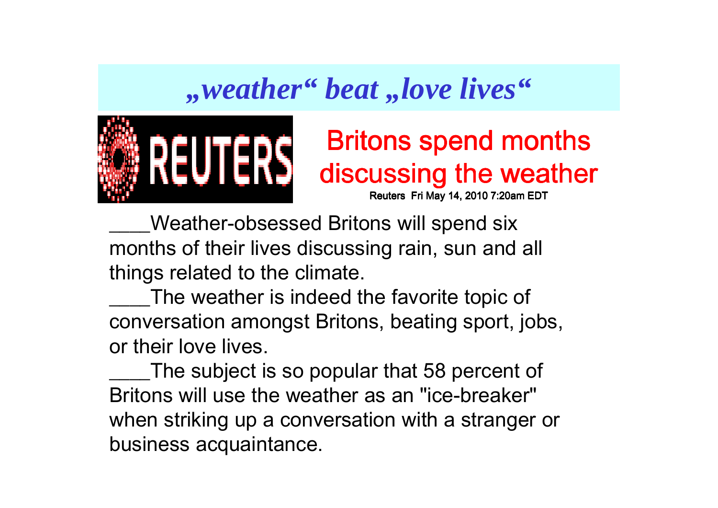## *meather" beat ,,love lives*"



# Britons spend months discussing the weather

Reuters Fri May 14, 2010 7:20am EDT

Weather-obsessed Britons will spend six months of their lives discussing rain, sun and all things related to the climate.

The weather is indeed the favorite topic of conversation amongst Britons, beating sport, jobs, or their love lives.

\_\_\_\_The subject is so popular that 58 percent of Britons will use the weather as an "ice-breaker" when striking up a conversation with a stranger or business acquaintance.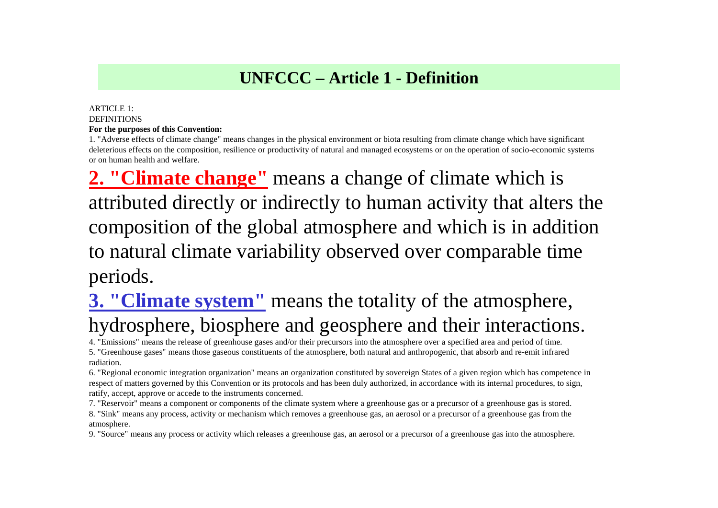### **UNFCCC – Article 1 - Definition**

#### ARTICLE 1:**DEFINITIONS For the purposes of this Convention:**

 1. "Adverse effects of climate change" means changes in the physical environment or biota resulting from climate change which have significant deleterious effects on the composition, resilience or productivity of natural and managed ecosystems or on the operation of socio-economic systems or on human health and welfare.

**2. "Climate change"** means a change of climate which is attributed directly or indirectly to human activity that alters the composition of the global atmosphere and which is in addition to natural climate variability observed over comparable time periods.

## **3. "Climate system"** means the totality of the atmosphere, hydrosphere, biosphere and geosphere and their interactions.

4. "Emissions" means the release of greenhouse gases and/or their precursors into the atmosphere over a specified area and period of time.

 5. "Greenhouse gases" means those gaseous constituents of the atmosphere, both natural and anthropogenic, that absorb and re-emit infrared radiation.

6. "Regional economic integration organization" means an organization constituted by sovereign States of a given region which has competence in respect of matters governed by this Convention or its protocols and has been duly authorized, in accordance with its internal procedures, to sign, ratify, accept, approve or accede to the instruments concerned.

7. "Reservoir" means a component or components of the climate system where a greenhouse gas or a precursor of a greenhouse gas is stored.8. "Sink" means any process, activity or mechanism which removes a greenhouse gas, an aerosol or a precursor of a greenhouse gas from the atmosphere.

9. "Source" means any process or activity which releases a greenhouse gas, an aerosol or a precursor of a greenhouse gas into the atmosphere.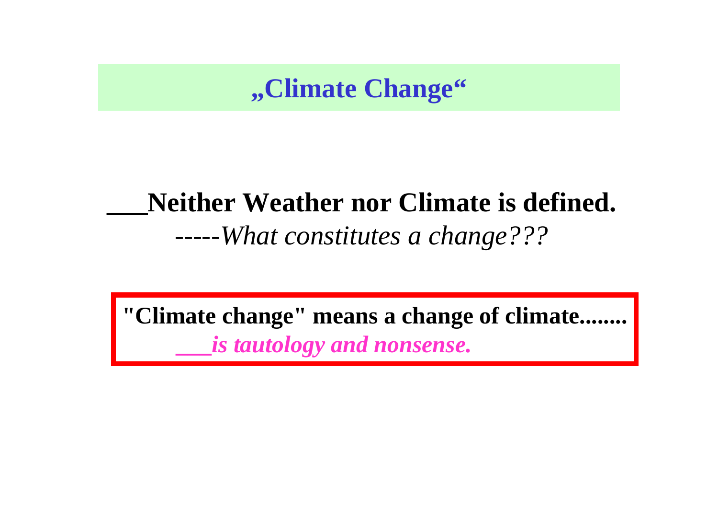**"Climate Change"**

## **\_\_\_Neither Weather nor Climate is defined.***-----What constitutes a change???*

**"Climate change" means a change of climate........\_\_\_***is tautology and nonsense.*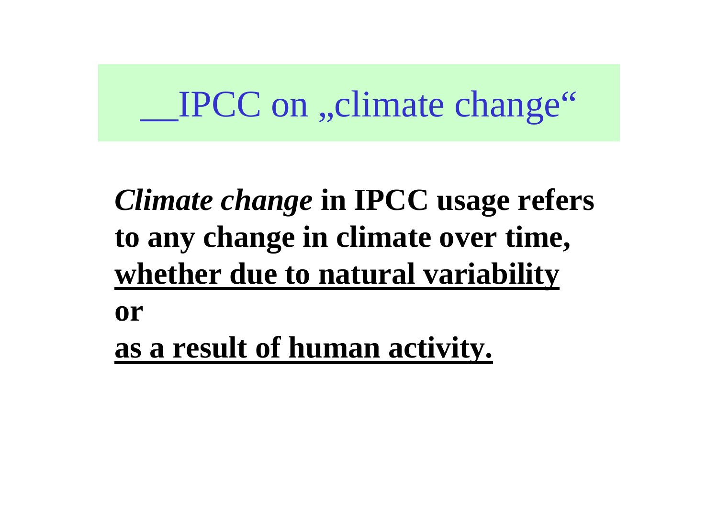# IPCC on "climate change"

# *Climate change* **in IPCC usage refers to any change in climate over time, whether due to natural variability**

**or**

**as a result of human activity.**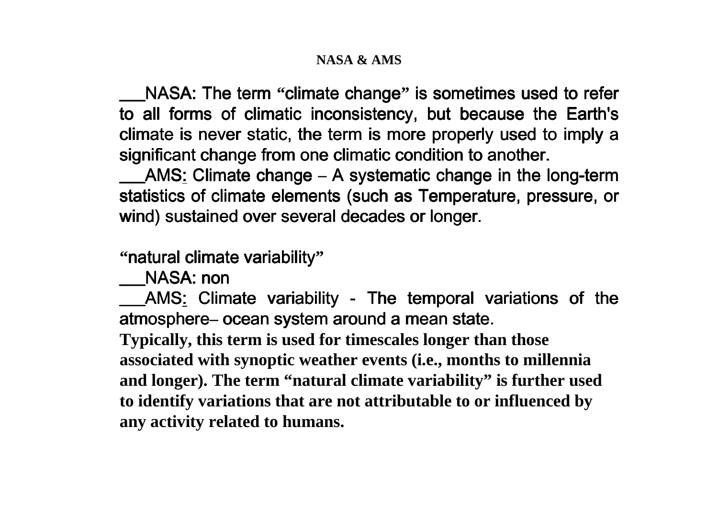#### **NASA & AMS**

\_\_\_NASA: The term **"**climate change**"** is sometimes used to refer to all forms of climatic inconsistency, but because the Earth's climate is never static, the term is more properly used to imply a significant change from one climatic condition to another.

**EXAMS:** Climate change – A systematic change in the long-term statistics of climate elements (such as Temperature, pressure, or wind) sustained over several decades or longer.

**"**natural climate variability**"**

NASA: non

\_\_\_AMS: Climate variability - The temporal variations of the atmosphere**–** ocean system around a mean state.

**Typically, this term is used for timescales longer than those associated with synoptic weather events (i.e., months to millennia and longer). The term "natural climate variability" is further used to identify variations that are not attributable to or influenced by any activity related to humans.**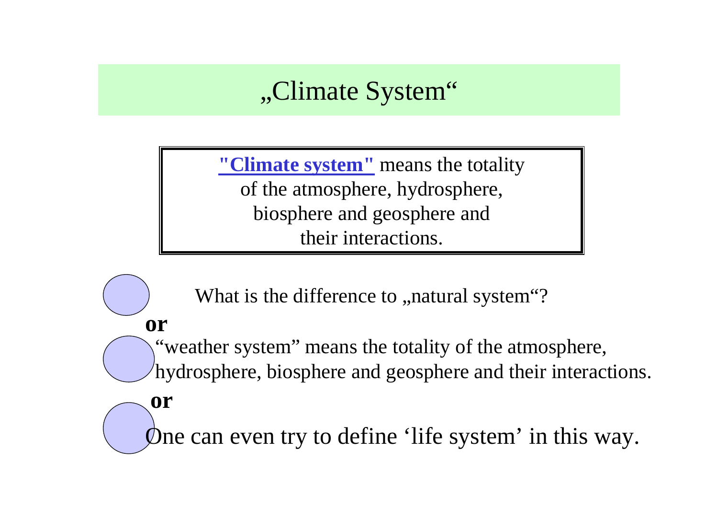## "Climate System"

**"Climate system"** means the totality of the atmosphere, hydrosphere, biosphere and geosphere and their interactions.

What is the difference to , natural system"?

**or**

**or**

"weather system" means the totality of the atmosphere, hydrosphere, biosphere and geosphere and their interactions.

One can even try to define 'life system' in this way.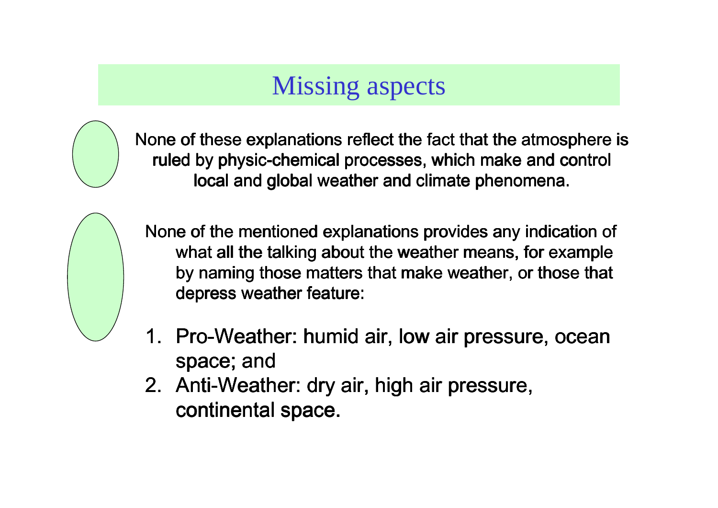## Missing aspects



None of these explanations reflect the fact that the atmosphere is ruled by physic-chemical processes, which make and control local and global weather and climate phenomena.



None of the mentioned explanations provides any indication of what all the talking about the weather means, for example by naming those matters that make weather, or those that depress weather feature:

- 1. Pro-Weather: humid air, low air pressure, ocean space; and
- 2. Anti-Weather: dry air, high air pressure, continental space.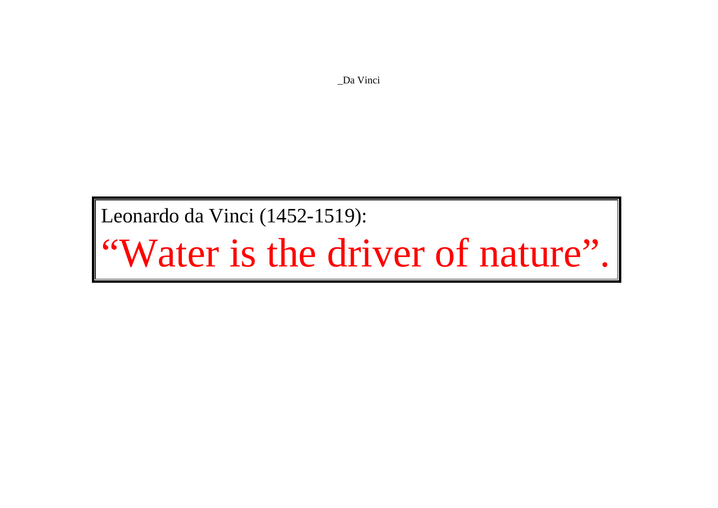\_Da Vinci

Leonardo da Vinci (1452-1519):

"Water is the driver of nature".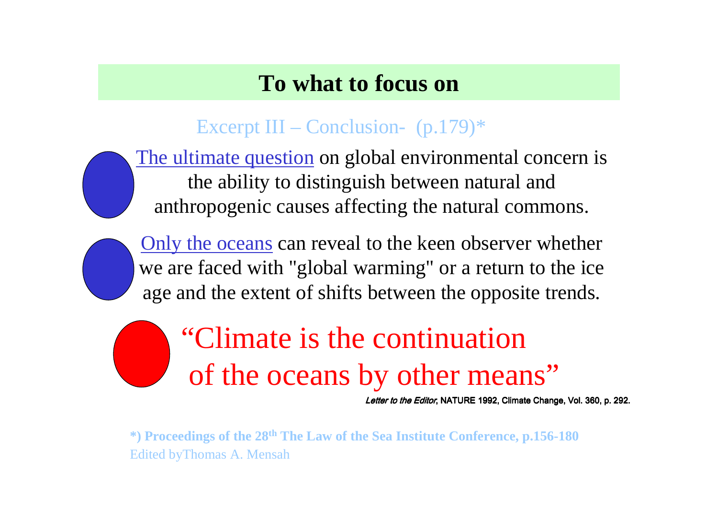## **To what to focus on**

## Excerpt III – Conclusion-  $(p.179)$ <sup>\*</sup>

The ultimate question on global environmental concern is the ability to distinguish between natural and anthropogenic causes affecting the natural commons.

Only the oceans can reveal to the keen observer whether we are faced with "global warming" or a return to the ice age and the extent of shifts between the opposite trends.

# "Climate is the continuationof the oceans by other means"

*Letter to the Editor*, NATURE 1992, Climate Change, Vol. 360, p. 292.

**\*) Proceedings of the <sup>28</sup>th The Law of the Sea Institute Conference, p.156-180**Edited byThomas A. Mensah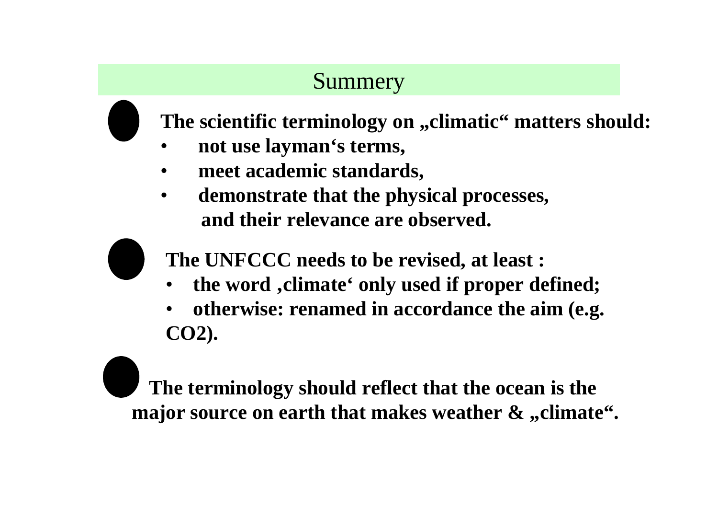## Summery

**The scientific terminology on "climatic" matters should:**

- •**not use layman's terms,**
- •**meet academic standards,**
- $\bullet$  **demonstrate that the physical processes, and their relevance are observed.**

**The UNFCCC needs to be revised, at least :**

- •**the word 'climate' only used if proper defined;**
- • **otherwise: renamed in accordance the aim (e.g. CO2).**

**The terminology should reflect that the ocean is themajor source on earth that makes weather**  $\boldsymbol{\&}$  **,,climate".**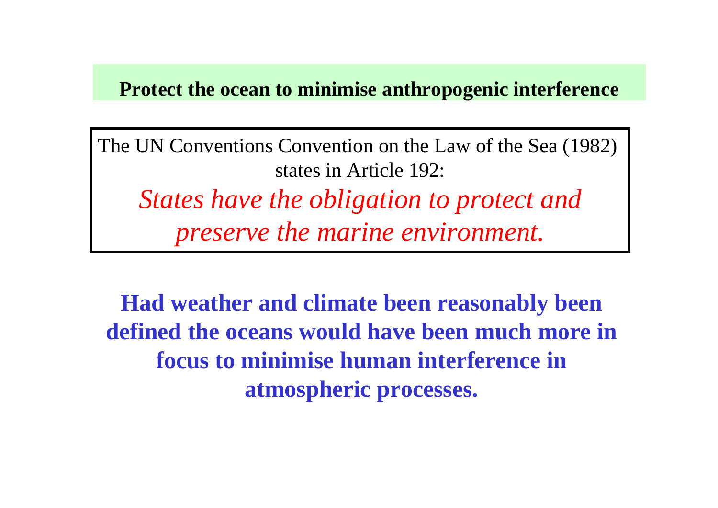### **Protect the ocean to minimise anthropogenic interference**

The UN Conventions Convention on the Law of the Sea (1982) states in Article 192:*States have the obligation to protect andpreserve the marine environment.* 

**Had weather and climate been reasonably been defined the oceans would have been much more in focus to minimise human interference in atmospheric processes.**